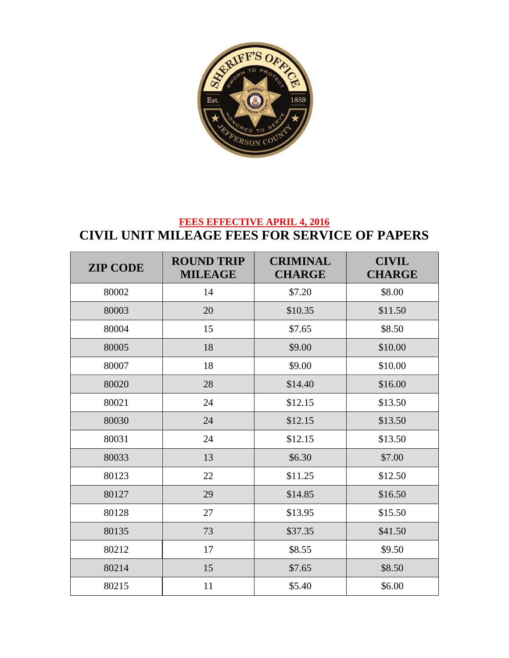

## **FEES EFFECTIVE APRIL 4, 2016 CIVIL UNIT MILEAGE FEES FOR SERVICE OF PAPERS**

| <b>ZIP CODE</b> | <b>ROUND TRIP</b><br><b>MILEAGE</b> | <b>CRIMINAL</b><br><b>CHARGE</b> | <b>CIVIL</b><br><b>CHARGE</b> |
|-----------------|-------------------------------------|----------------------------------|-------------------------------|
| 80002           | 14                                  | \$7.20                           | \$8.00                        |
| 80003           | 20                                  | \$10.35                          | \$11.50                       |
| 80004           | 15                                  | \$7.65                           | \$8.50                        |
| 80005           | 18                                  | \$9.00                           | \$10.00                       |
| 80007           | 18                                  | \$9.00                           | \$10.00                       |
| 80020           | 28                                  | \$14.40                          | \$16.00                       |
| 80021           | 24                                  | \$12.15                          | \$13.50                       |
| 80030           | 24                                  | \$12.15                          | \$13.50                       |
| 80031           | 24                                  | \$12.15                          | \$13.50                       |
| 80033           | 13                                  | \$6.30                           | \$7.00                        |
| 80123           | 22                                  | \$11.25                          | \$12.50                       |
| 80127           | 29                                  | \$14.85                          | \$16.50                       |
| 80128           | 27                                  | \$13.95                          | \$15.50                       |
| 80135           | 73                                  | \$37.35                          | \$41.50                       |
| 80212           | 17                                  | \$8.55                           | \$9.50                        |
| 80214           | 15                                  | \$7.65                           | \$8.50                        |
| 80215           | 11                                  | \$5.40                           | \$6.00                        |